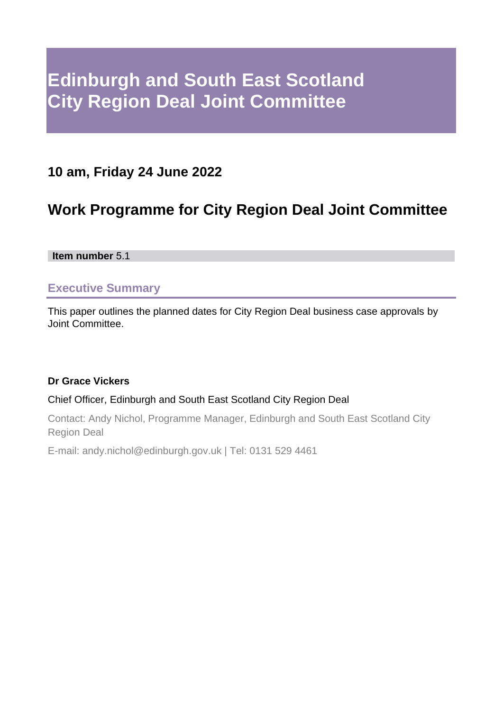# **Edinburgh and South East Scotland City Region Deal Joint Committee**

### **10 am, Friday 24 June 2022**

## **Work Programme for City Region Deal Joint Committee**

**Item number** 5.1

#### **Executive Summary**

This paper outlines the planned dates for City Region Deal business case approvals by Joint Committee.

#### **Dr Grace Vickers**

#### Chief Officer, Edinburgh and South East Scotland City Region Deal

Contact: Andy Nichol, Programme Manager, Edinburgh and South East Scotland City Region Deal

E-mail: andy.nichol@edinburgh.gov.uk | Tel: 0131 529 4461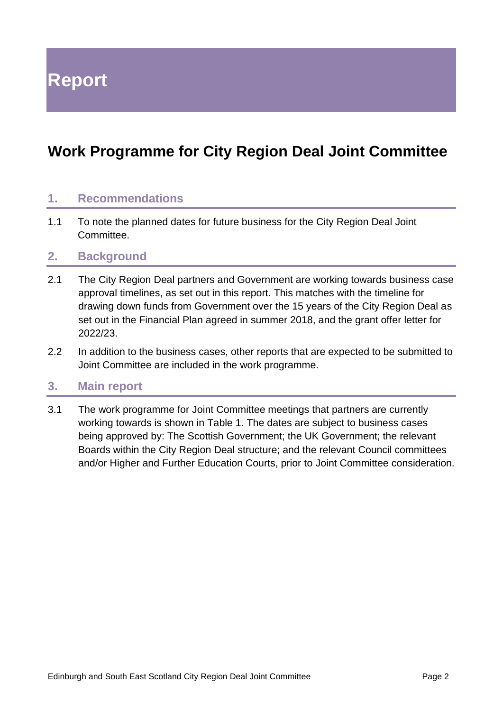**Report**

## **Work Programme for City Region Deal Joint Committee**

#### **1. Recommendations**

1.1 To note the planned dates for future business for the City Region Deal Joint Committee.

#### **2. Background**

- 2.1 The City Region Deal partners and Government are working towards business case approval timelines, as set out in this report. This matches with the timeline for drawing down funds from Government over the 15 years of the City Region Deal as set out in the Financial Plan agreed in summer 2018, and the grant offer letter for 2022/23.
- 2.2 In addition to the business cases, other reports that are expected to be submitted to Joint Committee are included in the work programme.

#### **3. Main report**

3.1 The work programme for Joint Committee meetings that partners are currently working towards is shown in Table 1. The dates are subject to business cases being approved by: The Scottish Government; the UK Government; the relevant Boards within the City Region Deal structure; and the relevant Council committees and/or Higher and Further Education Courts, prior to Joint Committee consideration.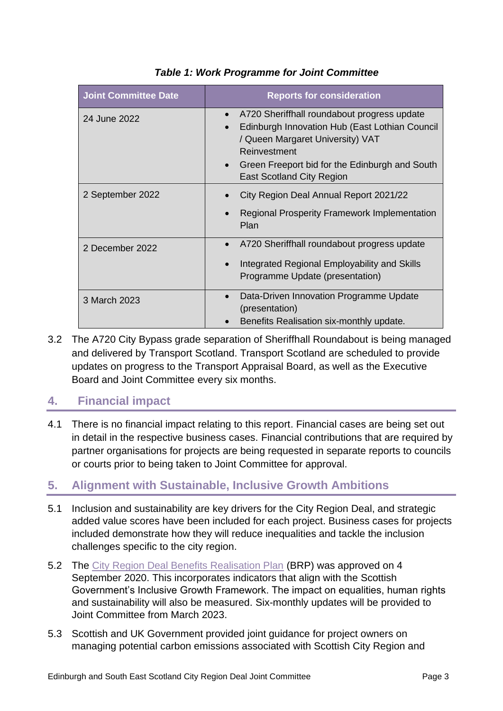| <b>Joint Committee Date</b> | <b>Reports for consideration</b>                                                                                                                                                                                                                     |
|-----------------------------|------------------------------------------------------------------------------------------------------------------------------------------------------------------------------------------------------------------------------------------------------|
| 24 June 2022                | A720 Sheriffhall roundabout progress update<br>Edinburgh Innovation Hub (East Lothian Council<br>/ Queen Margaret University) VAT<br>Reinvestment<br>Green Freeport bid for the Edinburgh and South<br>$\bullet$<br><b>East Scotland City Region</b> |
| 2 September 2022            | City Region Deal Annual Report 2021/22<br><b>Regional Prosperity Framework Implementation</b><br>Plan                                                                                                                                                |
| 2 December 2022             | A720 Sheriffhall roundabout progress update<br>Integrated Regional Employability and Skills<br>Programme Update (presentation)                                                                                                                       |
| 3 March 2023                | Data-Driven Innovation Programme Update<br>(presentation)<br>Benefits Realisation six-monthly update.                                                                                                                                                |

#### *Table 1: Work Programme for Joint Committee*

3.2 The A720 City Bypass grade separation of Sheriffhall Roundabout is being managed and delivered by Transport Scotland. Transport Scotland are scheduled to provide updates on progress to the Transport Appraisal Board, as well as the Executive Board and Joint Committee every six months.

#### **4. Financial impact**

4.1 There is no financial impact relating to this report. Financial cases are being set out in detail in the respective business cases. Financial contributions that are required by partner organisations for projects are being requested in separate reports to councils or courts prior to being taken to Joint Committee for approval.

#### **5. Alignment with Sustainable, Inclusive Growth Ambitions**

- 5.1 Inclusion and sustainability are key drivers for the City Region Deal, and strategic added value scores have been included for each project. Business cases for projects included demonstrate how they will reduce inequalities and tackle the inclusion challenges specific to the city region.
- 5.2 The [City Region Deal Benefits Realisation Plan](https://democracy.edinburgh.gov.uk/documents/s25995/5.3%20Benefits%20Realisation%20Plan%20with%20appendices.pdf) (BRP) was approved on 4 September 2020. This incorporates indicators that align with the Scottish Government's Inclusive Growth Framework. The impact on equalities, human rights and sustainability will also be measured. Six-monthly updates will be provided to Joint Committee from March 2023.
- 5.3 Scottish and UK Government provided joint guidance for project owners on managing potential carbon emissions associated with Scottish City Region and